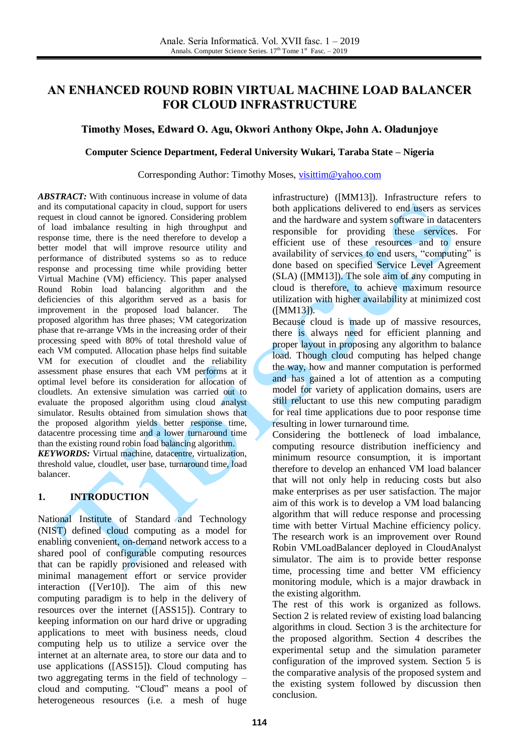# **AN ENHANCED ROUND ROBIN VIRTUAL MACHINE LOAD BALANCER FOR CLOUD INFRASTRUCTURE**

### **Timothy Moses, Edward O. Agu, Okwori Anthony Okpe, John A. Oladunjoye**

#### **Computer Science Department, Federal University Wukari, Taraba State – Nigeria**

Corresponding Author: Timothy Moses, [visittim@yahoo.com](mailto:visittim@yahoo.com)

*ABSTRACT:* With continuous increase in volume of data and its computational capacity in cloud, support for users request in cloud cannot be ignored. Considering problem of load imbalance resulting in high throughput and response time, there is the need therefore to develop a better model that will improve resource utility and performance of distributed systems so as to reduce response and processing time while providing better Virtual Machine (VM) efficiency. This paper analysed Round Robin load balancing algorithm and the deficiencies of this algorithm served as a basis for improvement in the proposed load balancer. The proposed algorithm has three phases; VM categorization phase that re-arrange VMs in the increasing order of their processing speed with 80% of total threshold value of each VM computed. Allocation phase helps find suitable VM for execution of cloudlet and the reliability assessment phase ensures that each VM performs at it optimal level before its consideration for allocation of cloudlets. An extensive simulation was carried out to evaluate the proposed algorithm using cloud analyst simulator. Results obtained from simulation shows that the proposed algorithm yields better response time, datacentre processing time and a lower turnaround time than the existing round robin load balancing algorithm. *KEYWORDS:* Virtual machine, datacentre, virtualization, threshold value, cloudlet, user base, turnaround time, load balancer.

#### **1. INTRODUCTION**

National Institute of Standard and Technology (NIST) defined cloud computing as a model for enabling convenient, on-demand network access to a shared pool of configurable computing resources that can be rapidly provisioned and released with minimal management effort or service provider interaction ([Ver10]). The aim of this new computing paradigm is to help in the delivery of resources over the internet ([ASS15]). Contrary to keeping information on our hard drive or upgrading applications to meet with business needs, cloud computing help us to utilize a service over the internet at an alternate area, to store our data and to use applications ([ASS15]). Cloud computing has two aggregating terms in the field of technology – cloud and computing. "Cloud" means a pool of heterogeneous resources (i.e. a mesh of huge infrastructure) ([MM13]). Infrastructure refers to both applications delivered to end users as services and the hardware and system software in datacenters responsible for providing these services. For efficient use of these resources and to ensure availability of services to end users, "computing" is done based on specified Service Level Agreement (SLA) ([MM13]). The sole aim of any computing in cloud is therefore, to achieve maximum resource utilization with higher availability at minimized cost ([MM13]).

Because cloud is made up of massive resources, there is always need for efficient planning and proper layout in proposing any algorithm to balance load. Though cloud computing has helped change the way, how and manner computation is performed and has gained a lot of attention as a computing model for variety of application domains, users are still reluctant to use this new computing paradigm for real time applications due to poor response time resulting in lower turnaround time.

Considering the bottleneck of load imbalance, computing resource distribution inefficiency and minimum resource consumption, it is important therefore to develop an enhanced VM load balancer that will not only help in reducing costs but also make enterprises as per user satisfaction. The major aim of this work is to develop a VM load balancing algorithm that will reduce response and processing time with better Virtual Machine efficiency policy. The research work is an improvement over Round Robin VMLoadBalancer deployed in CloudAnalyst simulator. The aim is to provide better response time, processing time and better VM efficiency monitoring module, which is a major drawback in the existing algorithm.

The rest of this work is organized as follows. Section 2 is related review of existing load balancing algorithms in cloud. Section 3 is the architecture for the proposed algorithm. Section 4 describes the experimental setup and the simulation parameter configuration of the improved system. Section 5 is the comparative analysis of the proposed system and the existing system followed by discussion then conclusion.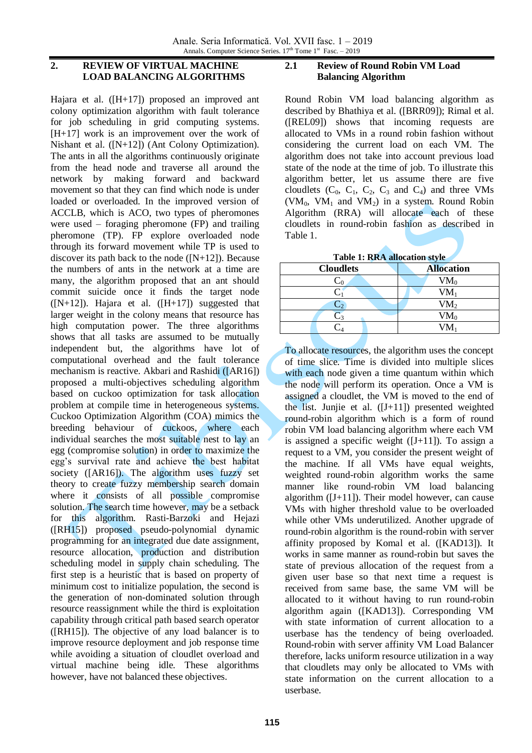# **2. REVIEW OF VIRTUAL MACHINE LOAD BALANCING ALGORITHMS**

Hajara et al. ([H+17]) proposed an improved ant colony optimization algorithm with fault tolerance for job scheduling in grid computing systems. [H+17] work is an improvement over the work of Nishant et al. ([N+12]) (Ant Colony Optimization). The ants in all the algorithms continuously originate from the head node and traverse all around the network by making forward and backward movement so that they can find which node is under loaded or overloaded. In the improved version of ACCLB, which is ACO, two types of pheromones were used – foraging pheromone (FP) and trailing pheromone (TP). FP explore overloaded node through its forward movement while TP is used to discover its path back to the node  $([N+12])$ . Because the numbers of ants in the network at a time are many, the algorithm proposed that an ant should commit suicide once it finds the target node  $([N+12])$ . Hajara et al.  $([H+17])$  suggested that larger weight in the colony means that resource has high computation power. The three algorithms shows that all tasks are assumed to be mutually independent but, the algorithms have lot of computational overhead and the fault tolerance mechanism is reactive. Akbari and Rashidi ([AR16]) proposed a multi-objectives scheduling algorithm based on cuckoo optimization for task allocation problem at compile time in heterogeneous systems. Cuckoo Optimization Algorithm (COA) mimics the breeding behaviour of cuckoos, where each individual searches the most suitable nest to lay an egg (compromise solution) in order to maximize the egg's survival rate and achieve the best habitat society ([AR16]). The algorithm uses fuzzy set theory to create fuzzy membership search domain where it consists of all possible compromise solution. The search time however, may be a setback for this algorithm. Rasti-Barzoki and Hejazi ([RH15]) proposed pseudo-polynomial dynamic programming for an integrated due date assignment, resource allocation, production and distribution scheduling model in supply chain scheduling. The first step is a heuristic that is based on property of minimum cost to initialize population, the second is the generation of non-dominated solution through resource reassignment while the third is exploitation capability through critical path based search operator ([RH15]). The objective of any load balancer is to improve resource deployment and job response time while avoiding a situation of cloudlet overload and virtual machine being idle. These algorithms however, have not balanced these objectives.

# **2.1 Review of Round Robin VM Load Balancing Algorithm**

Round Robin VM load balancing algorithm as described by Bhathiya et al. ([BRR09]); Rimal et al. ([REL09]) shows that incoming requests are allocated to VMs in a round robin fashion without considering the current load on each VM. The algorithm does not take into account previous load state of the node at the time of job. To illustrate this algorithm better, let us assume there are five cloudlets  $(C_0, C_1, C_2, C_3$  and  $C_4$ ) and three VMs (VM<sub>0</sub>, VM<sub>1</sub> and VM<sub>2</sub>) in a system. Round Robin Algorithm (RRA) will allocate each of these cloudlets in round-robin fashion as described in Table 1.

**Table 1: RRA allocation style**

| <b>Cloudlets</b> | <b>Allocation</b> |
|------------------|-------------------|
|                  | $VM_0$            |
|                  | $VM_1$            |
| دب               | VM <sub>2</sub>   |
|                  | VM <sub>0</sub>   |
|                  | $V/M$ .           |
|                  |                   |

To allocate resources, the algorithm uses the concept of time slice. Time is divided into multiple slices with each node given a time quantum within which the node will perform its operation. Once a VM is assigned a cloudlet, the VM is moved to the end of the list. Junjie et al.  $([J+11])$  presented weighted round-robin algorithm which is a form of round robin VM load balancing algorithm where each VM is assigned a specific weight  $([J+11])$ . To assign a request to a VM, you consider the present weight of the machine. If all VMs have equal weights, weighted round-robin algorithm works the same manner like round-robin VM load balancing algorithm  $([J+11])$ . Their model however, can cause VMs with higher threshold value to be overloaded while other VMs underutilized. Another upgrade of round-robin algorithm is the round-robin with server affinity proposed by Komal et al. ([KAD13]). It works in same manner as round-robin but saves the state of previous allocation of the request from a given user base so that next time a request is received from same base, the same VM will be allocated to it without having to run round-robin algorithm again ([KAD13]). Corresponding VM with state information of current allocation to a userbase has the tendency of being overloaded. Round-robin with server affinity VM Load Balancer therefore, lacks uniform resource utilization in a way that cloudlets may only be allocated to VMs with state information on the current allocation to a userbase.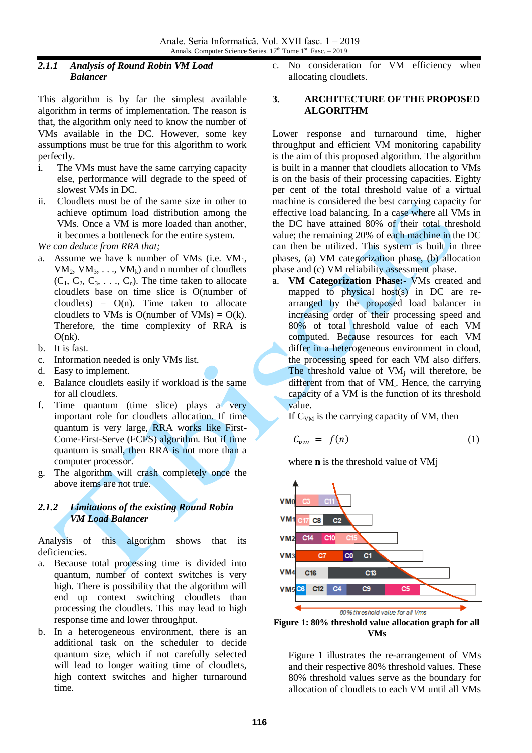### *2.1.1 Analysis of Round Robin VM Load Balancer*

This algorithm is by far the simplest available algorithm in terms of implementation. The reason is that, the algorithm only need to know the number of VMs available in the DC. However, some key assumptions must be true for this algorithm to work perfectly.

- i. The VMs must have the same carrying capacity else, performance will degrade to the speed of slowest VMs in DC.
- ii. Cloudlets must be of the same size in other to achieve optimum load distribution among the VMs. Once a VM is more loaded than another, it becomes a bottleneck for the entire system.

*We can deduce from RRA that;*

- a. Assume we have k number of VMs (i.e.  $VM<sub>1</sub>$ ,  $VM_2$ ,  $VM_3$ , ...,  $VM_k$ ) and n number of cloudlets  $(C_1, C_2, C_3, \ldots, C_n)$ . The time taken to allocate cloudlets base on time slice is O(number of cloudlets) =  $O(n)$ . Time taken to allocate cloudlets to VMs is O(number of VMs) =  $O(k)$ . Therefore, the time complexity of RRA is  $O(nk)$ .
- b. It is fast.
- c. Information needed is only VMs list.
- d. Easy to implement.
- e. Balance cloudlets easily if workload is the same for all cloudlets.
- f. Time quantum (time slice) plays a very important role for cloudlets allocation. If time quantum is very large, RRA works like First-Come-First-Serve (FCFS) algorithm. But if time quantum is small, then RRA is not more than a computer processor.
- g. The algorithm will crash completely once the above items are not true.

# *2.1.2 Limitations of the existing Round Robin VM Load Balancer*

Analysis of this algorithm shows that its deficiencies.

- a. Because total processing time is divided into quantum, number of context switches is very high. There is possibility that the algorithm will end up context switching cloudlets than processing the cloudlets. This may lead to high response time and lower throughput.
- b. In a heterogeneous environment, there is an additional task on the scheduler to decide quantum size, which if not carefully selected will lead to longer waiting time of cloudlets, high context switches and higher turnaround time.

c. No consideration for VM efficiency when allocating cloudlets.

### **3. ARCHITECTURE OF THE PROPOSED ALGORITHM**

Lower response and turnaround time, higher throughput and efficient VM monitoring capability is the aim of this proposed algorithm. The algorithm is built in a manner that cloudlets allocation to VMs is on the basis of their processing capacities. Eighty per cent of the total threshold value of a virtual machine is considered the best carrying capacity for effective load balancing. In a case where all VMs in the DC have attained 80% of their total threshold value; the remaining 20% of each machine in the DC can then be utilized. This system is built in three phases, (a) VM categorization phase, (b) allocation phase and (c) VM reliability assessment phase.

a. **VM Categorization Phase:-** VMs created and mapped to physical host(s) in DC are rearranged by the proposed load balancer in increasing order of their processing speed and 80% of total threshold value of each VM computed. Because resources for each VM differ in a heterogeneous environment in cloud. the processing speed for each VM also differs. The threshold value of  $VM_i$  will therefore, be different from that of VM<sub>i</sub>. Hence, the carrying capacity of a VM is the function of its threshold value.

If  $C<sub>VM</sub>$  is the carrying capacity of VM, then

$$
C_{vm} = f(n) \tag{1}
$$

where **n** is the threshold value of VMj



**Figure 1: 80% threshold value allocation graph for all VMs**

Figure 1 illustrates the re-arrangement of VMs and their respective 80% threshold values. These 80% threshold values serve as the boundary for allocation of cloudlets to each VM until all VMs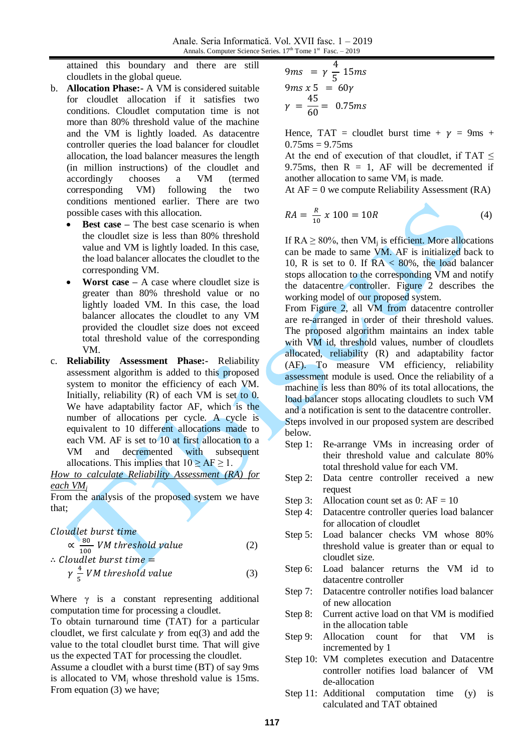attained this boundary and there are still cloudlets in the global queue.

- b. **Allocation Phase:-** A VM is considered suitable for cloudlet allocation if it satisfies two conditions. Cloudlet computation time is not more than 80% threshold value of the machine and the VM is lightly loaded. As datacentre controller queries the load balancer for cloudlet allocation, the load balancer measures the length (in million instructions) of the cloudlet and accordingly chooses a VM (termed corresponding VM) following the two conditions mentioned earlier. There are two possible cases with this allocation.
	- **Best case** The best case scenario is when the cloudlet size is less than 80% threshold value and VM is lightly loaded. In this case, the load balancer allocates the cloudlet to the corresponding VM.
	- **Worst case –** A case where cloudlet size is greater than 80% threshold value or no lightly loaded VM. In this case, the load balancer allocates the cloudlet to any VM provided the cloudlet size does not exceed total threshold value of the corresponding VM.
- c. **Reliability Assessment Phase:-** Reliability assessment algorithm is added to this proposed system to monitor the efficiency of each VM. Initially, reliability  $(R)$  of each VM is set to 0. We have adaptability factor AF, which is the number of allocations per cycle. A cycle is equivalent to 10 different allocations made to each VM. AF is set to 10 at first allocation to a VM and decremented with subsequent allocations. This implies that  $10 \ge AF \ge 1$ .

*How to calculate Reliability Assessment (RA) for each VM<sup>j</sup>*

From the analysis of the proposed system we have that;

# Cloudlet burst time

8  $\frac{80}{100}$  VM threshold value (2)  $\therefore$  Cloud

$$
\gamma \frac{4}{5} VM threshold value \tag{3}
$$

Where  $\gamma$  is a constant representing additional computation time for processing a cloudlet.

To obtain turnaround time (TAT) for a particular cloudlet, we first calculate  $\gamma$  from eq(3) and add the value to the total cloudlet burst time. That will give us the expected TAT for processing the cloudlet.

Assume a cloudlet with a burst time (BT) of say 9ms is allocated to  $VM_i$  whose threshold value is 15ms. From equation (3) we have;

$$
9ms = \gamma \frac{4}{5} 15ms
$$
  

$$
9ms x 5 = 60\gamma
$$
  

$$
\gamma = \frac{45}{60} = 0.75ms
$$

Hence, TAT = cloudlet burst time +  $\nu$  = 9ms +  $0.75$ ms = 9.75ms

At the end of execution of that cloudlet, if TAT < 9.75ms, then  $R = 1$ , AF will be decremented if another allocation to same  $VM_i$  is made.

At  $AF = 0$  we compute Reliability Assessment (RA)

$$
RA = \frac{R}{10} x 100 = 10R
$$
 (4)

If  $RA > 80\%$ , then VM; is efficient. More allocations can be made to same VM. AF is initialized back to 10, R is set to 0. If  $RA < 80\%$ , the load balancer stops allocation to the corresponding VM and notify the datacentre controller. Figure 2 describes the working model of our proposed system.

From Figure 2, all VM from datacentre controller are re-arranged in order of their threshold values. The proposed algorithm maintains an index table with VM id, threshold values, number of cloudlets allocated, reliability (R) and adaptability factor (AF). To measure VM efficiency, reliability assessment module is used. Once the reliability of a machine is less than 80% of its total allocations, the load balancer stops allocating cloudlets to such VM and a notification is sent to the datacentre controller. Steps involved in our proposed system are described below.

- Step 1: Re-arrange VMs in increasing order of their threshold value and calculate 80% total threshold value for each VM.
- Step 2: Data centre controller received a new request
- Step 3: Allocation count set as  $0: AF = 10$
- Step 4: Datacentre controller queries load balancer for allocation of cloudlet
- Step 5: Load balancer checks VM whose 80% threshold value is greater than or equal to cloudlet size.
- Step 6: Load balancer returns the VM id to datacentre controller
- Step 7: Datacentre controller notifies load balancer of new allocation
- Step 8: Current active load on that VM is modified in the allocation table
- Step 9: Allocation count for that VM is incremented by 1
- Step 10: VM completes execution and Datacentre controller notifies load balancer of VM de-allocation
- Step 11: Additional computation time (y) is calculated and TAT obtained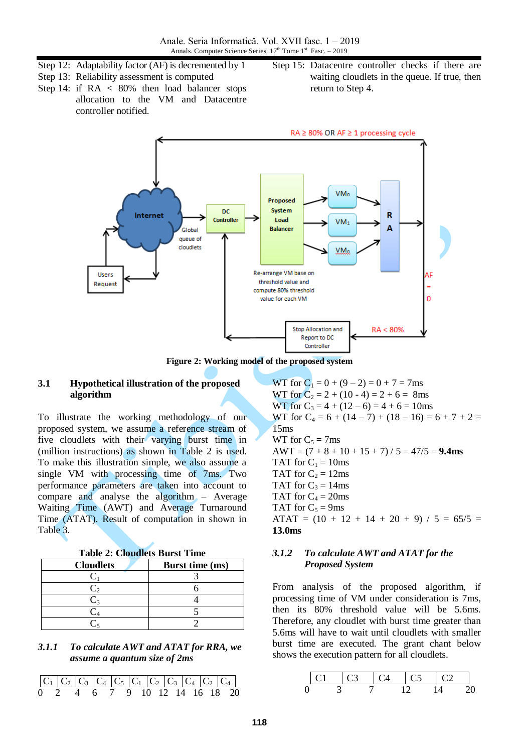- Step 12: Adaptability factor (AF) is decremented by 1
- Step 13: Reliability assessment is computed
- Step 14: if  $RA \leq 80\%$  then load balancer stops allocation to the VM and Datacentre controller notified.
- Step 15: Datacentre controller checks if there are waiting cloudlets in the queue. If true, then return to Step 4.



**Figure 2: Working model of the proposed system**

#### **3.1 Hypothetical illustration of the proposed algorithm**

To illustrate the working methodology of our proposed system, we assume a reference stream of five cloudlets with their varying burst time in (million instructions) as shown in Table 2 is used. To make this illustration simple, we also assume a single VM with processing time of 7ms. Two performance parameters are taken into account to compare and analyse the algorithm – Average Waiting Time (AWT) and Average Turnaround Time (ATAT). Result of computation in shown in Table 3.

| Table 2: Cloudlets Burst Time |  |  |  |
|-------------------------------|--|--|--|
|                               |  |  |  |

| <b>Cloudlets</b> | Burst time (ms) |
|------------------|-----------------|
|                  |                 |
|                  |                 |
|                  |                 |
|                  |                 |
|                  |                 |

#### *3.1.1 To calculate AWT and ATAT for RRA, we assume a quantum size of 2ms*



WT for  $C_1 = 0 + (9 - 2) = 0 + 7 = 7$ ms WT for  $C_2 = 2 + (10 - 4) = 2 + 6 = 8$ ms WT for  $C_3 = 4 + (12 - 6) = 4 + 6 = 10$ ms WT for  $C_4 = 6 + (14 - 7) + (18 - 16) = 6 + 7 + 2 =$ 15ms WT for  $C_5 = 7$ ms  $AWT = (7 + 8 + 10 + 15 + 7) / 5 = 47/5 = 9.4$ ms TAT for  $C_1 = 10$ ms TAT for  $C_2 = 12$ ms TAT for  $C_3 = 14$ ms TAT for  $C_4 = 20$ ms TAT for  $C_5 = 9$ ms ATAT =  $(10 + 12 + 14 + 20 + 9) / 5 = 65/5 =$ **13.0ms**

#### *3.1.2 To calculate AWT and ATAT for the Proposed System*

From analysis of the proposed algorithm, if processing time of VM under consideration is 7ms, then its 80% threshold value will be 5.6ms. Therefore, any cloudlet with burst time greater than 5.6ms will have to wait until cloudlets with smaller burst time are executed. The grant chant below shows the execution pattern for all cloudlets.

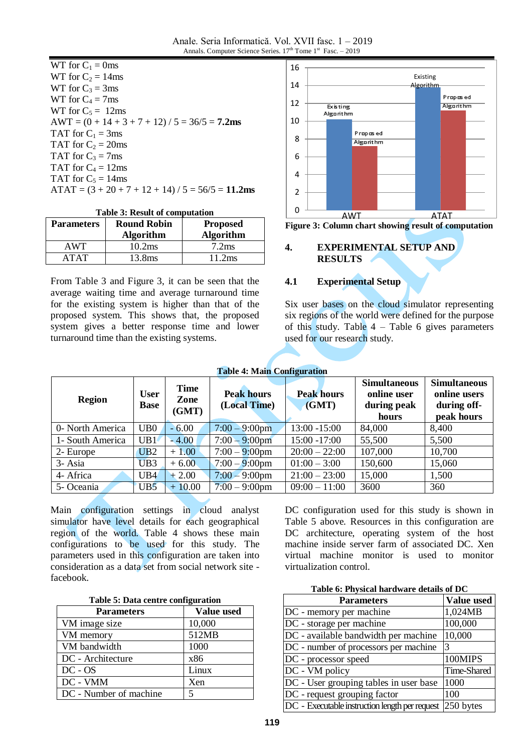Anale. Seria Informatică. Vol. XVII fasc. 1 – 2019 Annals. Computer Science Series.  $17<sup>th</sup>$  Tome  $1<sup>st</sup>$  Fasc.  $-2019$ 

| WT for $C_1 = 0$ ms                                                |
|--------------------------------------------------------------------|
| WT for $C_2 = 14$ ms                                               |
| WT for $C_3 = 3$ ms                                                |
| WT for $C_4 = 7$ ms                                                |
| WT for $C_5 = 12$ ms                                               |
| $AWT = (0 + 14 + 3 + 7 + 12) / 5 = 36/5 = 7.2$ ms                  |
| TAT for $C_1 = 3$ ms                                               |
| TAT for $C_2 = 20$ ms                                              |
| TAT for $C_3 = 7$ ms                                               |
| TAT for $C_4 = 12$ ms                                              |
| TAT for $C_5 = 14$ ms                                              |
| $\text{ATAT} = (3 + 20 + 7 + 12 + 14) / 5 = 56/5 = 11.2 \text{ms}$ |
|                                                                    |

|  |  | <b>Table 3: Result of computation</b> |
|--|--|---------------------------------------|
|  |  |                                       |

| <b>Parameters</b> | <b>Round Robin</b> | <b>Proposed</b>   |
|-------------------|--------------------|-------------------|
|                   | <b>Algorithm</b>   | Algorithm         |
| AWT               | 10.2ms             | 7.2 <sub>ms</sub> |
| <b>ATAT</b>       | 13.8ms             | 11.2ms            |

From Table 3 and Figure 3, it can be seen that the average waiting time and average turnaround time for the existing system is higher than that of the proposed system. This shows that, the proposed system gives a better response time and lower turnaround time than the existing systems.





#### **4. EXPERIMENTAL SETUP AND RESULTS**

#### **4.1 Experimental Setup**

Six user bases on the cloud simulator representing six regions of the world were defined for the purpose of this study. Table  $4$  – Table 6 gives parameters used for our research study.

| <b>Table 4: Main Configuration</b> |
|------------------------------------|
|                                    |

| <b>Region</b>    | <b>User</b><br><b>Base</b> | <b>Time</b><br>Zone<br>(GMT) | <b>Peak hours</b><br>(Local Time) | <b>Peak hours</b><br>(GMT) | <b>Simultaneous</b><br>online user<br>during peak<br>hours | <b>Simultaneous</b><br>online users<br>during off-<br>peak hours |
|------------------|----------------------------|------------------------------|-----------------------------------|----------------------------|------------------------------------------------------------|------------------------------------------------------------------|
| 0- North America | UB <sub>0</sub>            | $-6.00$                      | $7:00 - 9:00$ pm                  | $13:00 - 15:00$            | 84,000                                                     | 8,400                                                            |
| 1- South America | UB1                        | $-4.00$                      | $7:00 - 9:00$ pm                  | $15:00 - 17:00$            | 55,500                                                     | 5,500                                                            |
| 2- Europe        | UB2                        | $+1.00$                      | $7:00 - 9:00$ pm                  | $20:00 - 22:00$            | 107,000                                                    | 10,700                                                           |
| 3- Asia          | UB <sub>3</sub>            | $+6.00$                      | $7:00 - 9:00$ pm                  | $01:00 - 3:00$             | 150,600                                                    | 15,060                                                           |
| 4- Africa        | UB <sub>4</sub>            | $+2.00$                      | $7:00 - 9:00$ pm                  | $21:00 - 23:00$            | 15,000                                                     | 1,500                                                            |
| 5- Oceania       | UB5                        | $+10.00$                     | $7:00 - 9:00$ pm                  | $09:00 - 11:00$            | 3600                                                       | 360                                                              |

Main configuration settings in cloud analyst simulator have level details for each geographical region of the world. Table 4 shows these main configurations to be used for this study. The parameters used in this configuration are taken into consideration as a data set from social network site facebook.

| Table 5: Data centre configuration |  |  |  |  |  |  |
|------------------------------------|--|--|--|--|--|--|
|------------------------------------|--|--|--|--|--|--|

| <b>Parameters</b>      | Value used |
|------------------------|------------|
| VM image size          | 10,000     |
| VM memory              | 512MB      |
| VM bandwidth           | 1000       |
| DC - Architecture      | x86        |
| $DC - OS$              | Linux      |
| DC - VMM               | Xen        |
| DC - Number of machine |            |

DC configuration used for this study is shown in Table 5 above. Resources in this configuration are DC architecture, operating system of the host machine inside server farm of associated DC. Xen virtual machine monitor is used to monitor virtualization control.

**Table 6: Physical hardware details of DC**

| <b>Parameters</b>                              | Value used  |
|------------------------------------------------|-------------|
| DC - memory per machine                        | 1,024MB     |
| DC - storage per machine                       | 100,000     |
| DC - available bandwidth per machine           | 10,000      |
| DC - number of processors per machine          | 3           |
| DC - processor speed                           | 100MIPS     |
| DC - VM policy                                 | Time-Shared |
| DC - User grouping tables in user base         | 1000        |
| DC - request grouping factor                   | 100         |
| DC - Executable instruction length per request | 250 bytes   |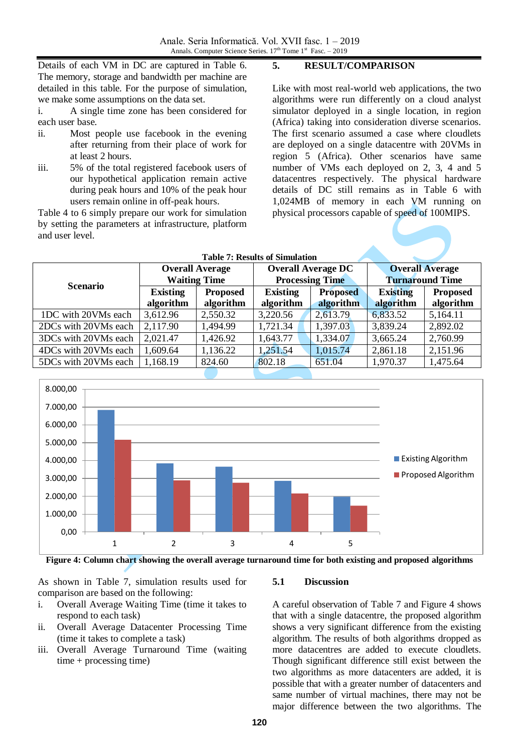Details of each VM in DC are captured in Table 6. The memory, storage and bandwidth per machine are detailed in this table. For the purpose of simulation, we make some assumptions on the data set.

i. A single time zone has been considered for each user base.

- ii. Most people use facebook in the evening after returning from their place of work for at least 2 hours.
- iii. 5% of the total registered facebook users of our hypothetical application remain active during peak hours and 10% of the peak hour users remain online in off-peak hours.

Table 4 to 6 simply prepare our work for simulation by setting the parameters at infrastructure, platform and user level.

**5. RESULT/COMPARISON**

Like with most real-world web applications, the two algorithms were run differently on a cloud analyst simulator deployed in a single location, in region (Africa) taking into consideration diverse scenarios. The first scenario assumed a case where cloudlets are deployed on a single datacentre with 20VMs in region 5 (Africa). Other scenarios have same number of VMs each deployed on 2, 3, 4 and 5 datacentres respectively. The physical hardware details of DC still remains as in Table 6 with 1,024MB of memory in each VM running on physical processors capable of speed of 100MIPS.

|                      |                     |                        | <b>Table 7: Results of Simulation</b> |                           |                        |                 |  |
|----------------------|---------------------|------------------------|---------------------------------------|---------------------------|------------------------|-----------------|--|
|                      |                     | <b>Overall Average</b> |                                       | <b>Overall Average DC</b> | <b>Overall Average</b> |                 |  |
| <b>Scenario</b>      | <b>Waiting Time</b> |                        | <b>Processing Time</b>                |                           | <b>Turnaround Time</b> |                 |  |
|                      | <b>Existing</b>     | <b>Proposed</b>        | <b>Existing</b>                       | <b>Proposed</b>           | <b>Existing</b>        | <b>Proposed</b> |  |
|                      | algorithm           | algorithm              | algorithm                             | algorithm                 | algorithm              | algorithm       |  |
| 1DC with 20VMs each  | 3,612.96            | 2,550.32               | 3,220.56                              | 2,613.79                  | 6,833.52               | 5,164.11        |  |
| 2DCs with 20VMs each | 2,117.90            | 1,494.99               | 1,721.34                              | 1,397.03                  | 3,839.24               | 2,892.02        |  |
| 3DCs with 20VMs each | 2,021.47            | 1,426.92               | 1,643.77                              | 1,334.07                  | 3,665.24               | 2,760.99        |  |
| 4DCs with 20VMs each | 1,609.64            | 1,136.22               | 1,251.54                              | 1,015.74                  | 2,861.18               | 2,151.96        |  |
| 5DCs with 20VMs each | 1,168.19            | 824.60                 | 802.18                                | 651.04                    | 1,970.37               | 1,475.64        |  |



**Figure 4: Column chart showing the overall average turnaround time for both existing and proposed algorithms**

As shown in Table 7, simulation results used for comparison are based on the following:

- i. Overall Average Waiting Time (time it takes to respond to each task)
- ii. Overall Average Datacenter Processing Time (time it takes to complete a task)
- iii. Overall Average Turnaround Time (waiting time + processing time)

# **5.1 Discussion**

A careful observation of Table 7 and Figure 4 shows that with a single datacentre, the proposed algorithm shows a very significant difference from the existing algorithm. The results of both algorithms dropped as more datacentres are added to execute cloudlets. Though significant difference still exist between the two algorithms as more datacenters are added, it is possible that with a greater number of datacenters and same number of virtual machines, there may not be major difference between the two algorithms. The